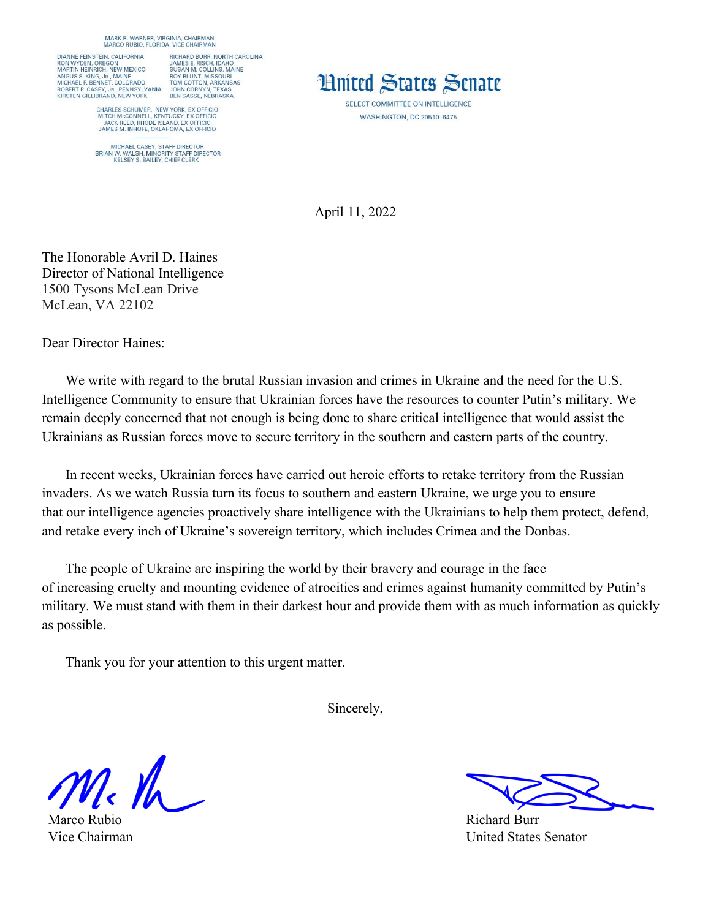MARK R. WARNER, VIRGINIA, CHAIRMAN<br>MARCO RUBIO, FLORIDA, VICE CHAIRMAN

DIANNE FEINSTEIN, CALIFORNIA RON WYDEN, OREGON<br>MARTIN HEINRICH, NEW MEXICO MARTIN HEINRICH, NEW MIEAL<br>ANGUS S. KING, JR., MAINE<br>MICHAEL F. BENNET, COLORADO<br>ROBERT P. CASEY, JR., PENNSYLVANIA<br>KIRSTEN GILLIBRAND, NEW YORK

RICHARD BURR, NORTH CAROLINA RICHARID BURH, NORTH CAR<br>JAMES E. RISCH, IDAHO<br>SUSAN M. COLLINS, MAINE<br>ROY BLUNT, MISSOURI<br>TOM COTTON, ARKANSAS<br>JOHN CORNYN, TEXAS<br>BEN SASSE, NEBRASKA

CHARLES SCHUMER, NEW YORK, EX OFFICIO<br>MITCH MCCONNELL, KENTUCKY, EX OFFICIO<br>JACK REED, RHODE ISLAND, EX OFFICIO<br>JAMES M. INHOFE, OKLAHOMA, EX OFFICIO

MICHAEL CASEY, STAFF DIRECTOR<br>BRIAN W. WALSH, MINORITY STAFF DIRECTOR<br>KELSEY S. BAILEY, CHIEF CLERK



SELECT COMMITTEE ON INTELLIGENCE **WASHINGTON, DC 20510-6475** 

April 11, 2022

The Honorable Avril D. Haines Director of National Intelligence 1500 Tysons McLean Drive McLean, VA 22102

Dear Director Haines:

We write with regard to the brutal Russian invasion and crimes in Ukraine and the need for the U.S. Intelligence Community to ensure that Ukrainian forces have the resources to counter Putin's military. We remain deeply concerned that not enough is being done to share critical intelligence that would assist the Ukrainians as Russian forces move to secure territory in the southern and eastern parts of the country.

In recent weeks, Ukrainian forces have carried out heroic efforts to retake territory from the Russian invaders. As we watch Russia turn its focus to southern and eastern Ukraine, we urge you to ensure that our intelligence agencies proactively share intelligence with the Ukrainians to help them protect, defend, and retake every inch of Ukraine's sovereign territory, which includes Crimea and the Donbas.

The people of Ukraine are inspiring the world by their bravery and courage in the face of increasing cruelty and mounting evidence of atrocities and crimes against humanity committed by Putin's military. We must stand with them in their darkest hour and provide them with as much information as quickly as possible.

Thank you for your attention to this urgent matter.

Sincerely,

Marco Rubio Vice Chairman

Richard Burr United States Senator